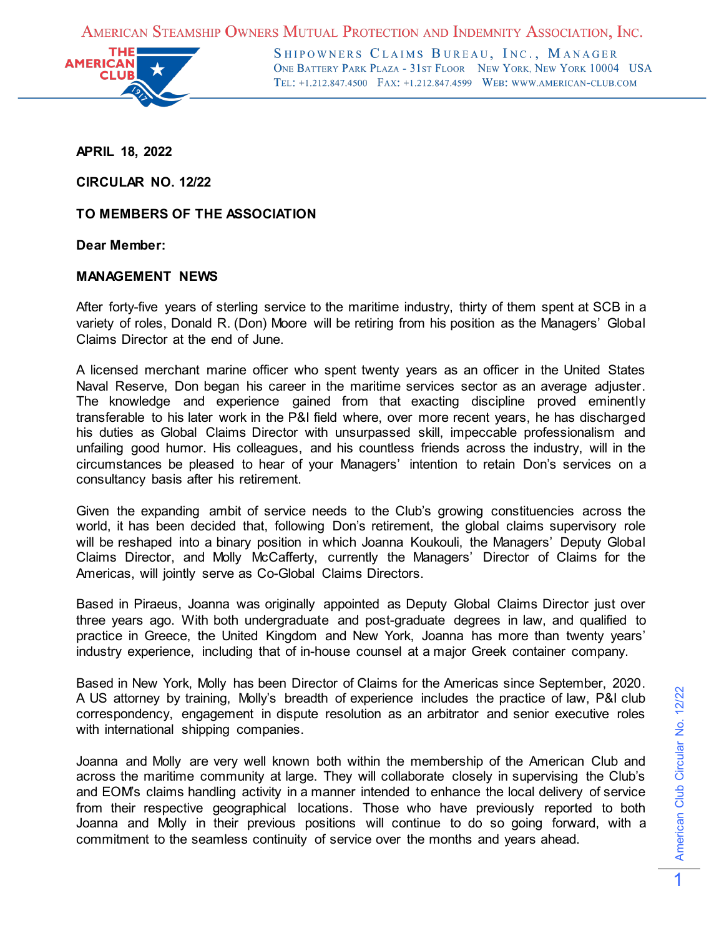AMERICAN STEAMSHIP OWNERS MUTUAL PROTECTION AND INDEMNITY ASSOCIATION, INC.



SHIPOWNERS CLAIMS BUREAU, INC., MANAGER ONE BATTERY PARK PLAZA - 31ST FLOOR NEW YORK, NEW YORK 10004 USA TEL: +1.212.847.4500 FAX: +1.212.847.4599 WEB: WWW.AMERICAN-CLUB.COM

**APRIL 18, 2022**

**CIRCULAR NO. 12/22**

**TO MEMBERS OF THE ASSOCIATION**

**Dear Member:**

## **MANAGEMENT NEWS**

After forty-five years of sterling service to the maritime industry, thirty of them spent at SCB in a variety of roles, Donald R. (Don) Moore will be retiring from his position as the Managers' Global Claims Director at the end of June.

A licensed merchant marine officer who spent twenty years as an officer in the United States Naval Reserve, Don began his career in the maritime services sector as an average adjuster. The knowledge and experience gained from that exacting discipline proved eminently transferable to his later work in the P&I field where, over more recent years, he has discharged his duties as Global Claims Director with unsurpassed skill, impeccable professionalism and unfailing good humor. His colleagues, and his countless friends across the industry, will in the circumstances be pleased to hear of your Managers' intention to retain Don's services on a consultancy basis after his retirement.

Given the expanding ambit of service needs to the Club's growing constituencies across the world, it has been decided that, following Don's retirement, the global claims supervisory role will be reshaped into a binary position in which Joanna Koukouli, the Managers' Deputy Global Claims Director, and Molly McCafferty, currently the Managers' Director of Claims for the Americas, will jointly serve as Co-Global Claims Directors.

Based in Piraeus, Joanna was originally appointed as Deputy Global Claims Director just over three years ago. With both undergraduate and post-graduate degrees in law, and qualified to practice in Greece, the United Kingdom and New York, Joanna has more than twenty years' industry experience, including that of in-house counsel at a major Greek container company.

Based in New York, Molly has been Director of Claims for the Americas since September, 2020. A US attorney by training, Molly's breadth of experience includes the practice of law, P&I club correspondency, engagement in dispute resolution as an arbitrator and senior executive roles with international shipping companies.

Joanna and Molly are very well known both within the membership of the American Club and across the maritime community at large. They will collaborate closely in supervising the Club's and EOM's claims handling activity in a manner intended to enhance the local delivery of service from their respective geographical locations. Those who have previously reported to both Joanna and Molly in their previous positions will continue to do so going forward, with a commitment to the seamless continuity of service over the months and years ahead.